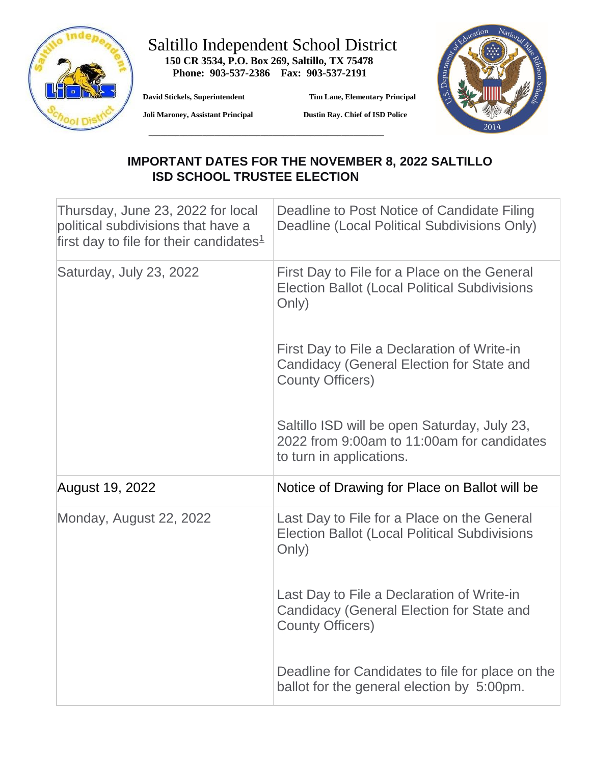

## Saltillo Independent School District  **150 CR 3534, P.O. Box 269, Saltillo, TX 75478**

 **David Stickels, Superintendent Tim Lane, Elementary Principal** 



 **Joli Maroney, Assistant Principal** 

**Dustin Ray. Chief of ISD Police** 

## **IMPORTANT DATES FOR THE NOVEMBER 8, 2022 SALTILLO ISD SCHOOL TRUSTEE ELECTION**

| Thursday, June 23, 2022 for local<br>political subdivisions that have a<br>first day to file for their candidates $1$ | Deadline to Post Notice of Candidate Filing<br>Deadline (Local Political Subdivisions Only)                                |
|-----------------------------------------------------------------------------------------------------------------------|----------------------------------------------------------------------------------------------------------------------------|
| Saturday, July 23, 2022                                                                                               | First Day to File for a Place on the General<br><b>Election Ballot (Local Political Subdivisions</b><br>Only)              |
|                                                                                                                       | First Day to File a Declaration of Write-in<br><b>Candidacy (General Election for State and</b><br><b>County Officers)</b> |
|                                                                                                                       | Saltillo ISD will be open Saturday, July 23,<br>2022 from 9:00am to 11:00am for candidates<br>to turn in applications.     |
| August 19, 2022                                                                                                       | Notice of Drawing for Place on Ballot will be                                                                              |
| Monday, August 22, 2022                                                                                               | Last Day to File for a Place on the General<br><b>Election Ballot (Local Political Subdivisions</b><br>Only)               |
|                                                                                                                       | Last Day to File a Declaration of Write-in<br>Candidacy (General Election for State and<br><b>County Officers)</b>         |
|                                                                                                                       | Deadline for Candidates to file for place on the<br>ballot for the general election by 5:00pm.                             |